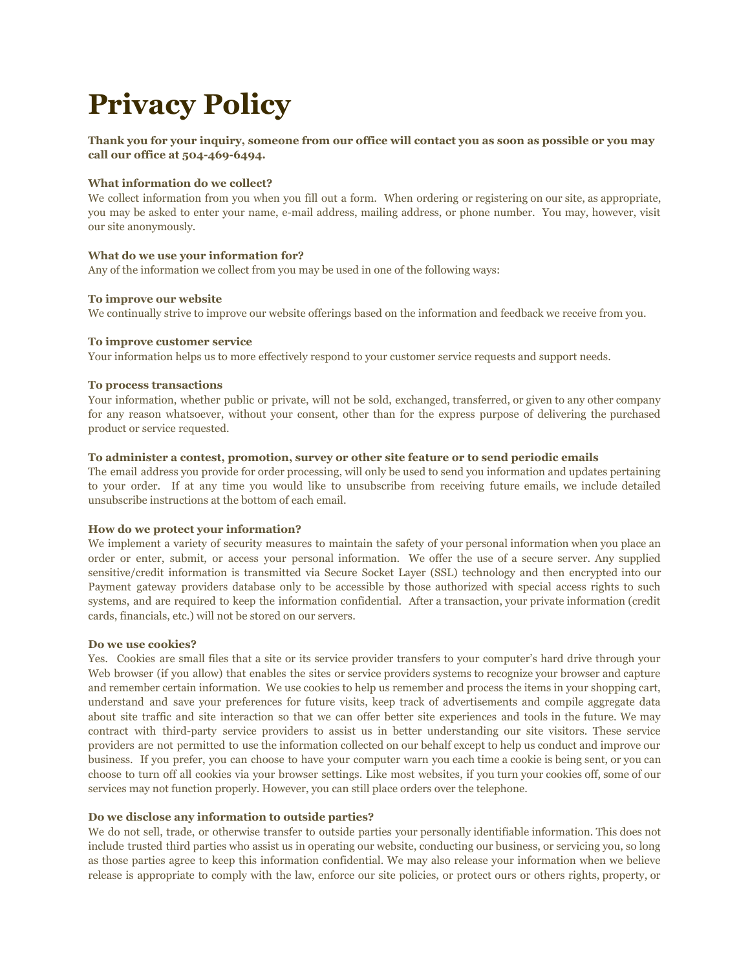# **Privacy Policy**

**Thank you for your inquiry, someone from our office will contact you as soon as possible or you may call our office at 504-469-6494.**

#### **What information do we collect?**

We collect information from you when you fill out a form. When ordering or registering on our site, as appropriate, you may be asked to enter your name, e-mail address, mailing address, or phone number. You may, however, visit our site anonymously.

## **What do we use your information for?**

Any of the information we collect from you may be used in one of the following ways:

## **To improve our website**

We continually strive to improve our website offerings based on the information and feedback we receive from you.

#### **To improve customer service**

Your information helps us to more effectively respond to your customer service requests and support needs.

#### **To process transactions**

Your information, whether public or private, will not be sold, exchanged, transferred, or given to any other company for any reason whatsoever, without your consent, other than for the express purpose of delivering the purchased product or service requested.

## **To administer a contest, promotion, survey or other site feature or to send periodic emails**

The email address you provide for order processing, will only be used to send you information and updates pertaining to your order. If at any time you would like to unsubscribe from receiving future emails, we include detailed unsubscribe instructions at the bottom of each email.

#### **How do we protect your information?**

We implement a variety of security measures to maintain the safety of your personal information when you place an order or enter, submit, or access your personal information. We offer the use of a secure server. Any supplied sensitive/credit information is transmitted via Secure Socket Layer (SSL) technology and then encrypted into our Payment gateway providers database only to be accessible by those authorized with special access rights to such systems, and are required to keep the information confidential. After a transaction, your private information (credit cards, financials, etc.) will not be stored on our servers.

#### **Do we use cookies?**

Yes. Cookies are small files that a site or its service provider transfers to your computer's hard drive through your Web browser (if you allow) that enables the sites or service providers systems to recognize your browser and capture and remember certain information. We use cookies to help us remember and process the items in your shopping cart, understand and save your preferences for future visits, keep track of advertisements and compile aggregate data about site traffic and site interaction so that we can offer better site experiences and tools in the future. We may contract with third-party service providers to assist us in better understanding our site visitors. These service providers are not permitted to use the information collected on our behalf except to help us conduct and improve our business. If you prefer, you can choose to have your computer warn you each time a cookie is being sent, or you can choose to turn off all cookies via your browser settings. Like most websites, if you turn your cookies off, some of our services may not function properly. However, you can still place orders over the telephone.

## **Do we disclose any information to outside parties?**

We do not sell, trade, or otherwise transfer to outside parties your personally identifiable information. This does not include trusted third parties who assist us in operating our website, conducting our business, or servicing you, so long as those parties agree to keep this information confidential. We may also release your information when we believe release is appropriate to comply with the law, enforce our site policies, or protect ours or others rights, property, or